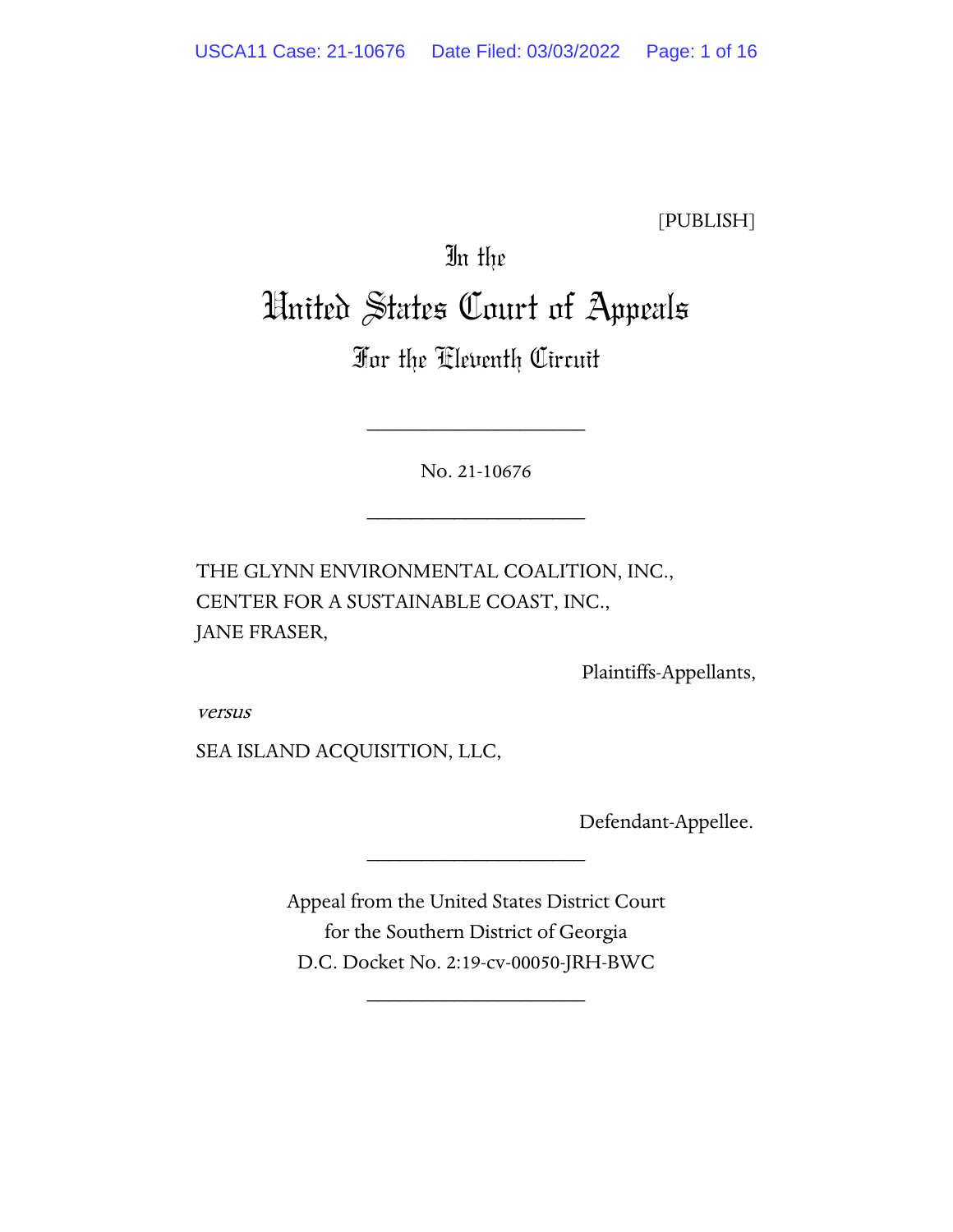[PUBLISH]

# In the United States Court of Appeals

# For the Eleventh Circuit

No. 21-10676

\_\_\_\_\_\_\_\_\_\_\_\_\_\_\_\_\_\_\_\_

\_\_\_\_\_\_\_\_\_\_\_\_\_\_\_\_\_\_\_\_

THE GLYNN ENVIRONMENTAL COALITION, INC., CENTER FOR A SUSTAINABLE COAST, INC., JANE FRASER,

Plaintiffs-Appellants,

versus

SEA ISLAND ACQUISITION, LLC,

Defendant-Appellee.

Appeal from the United States District Court for the Southern District of Georgia D.C. Docket No. 2:19-cv-00050-JRH-BWC

\_\_\_\_\_\_\_\_\_\_\_\_\_\_\_\_\_\_\_\_

\_\_\_\_\_\_\_\_\_\_\_\_\_\_\_\_\_\_\_\_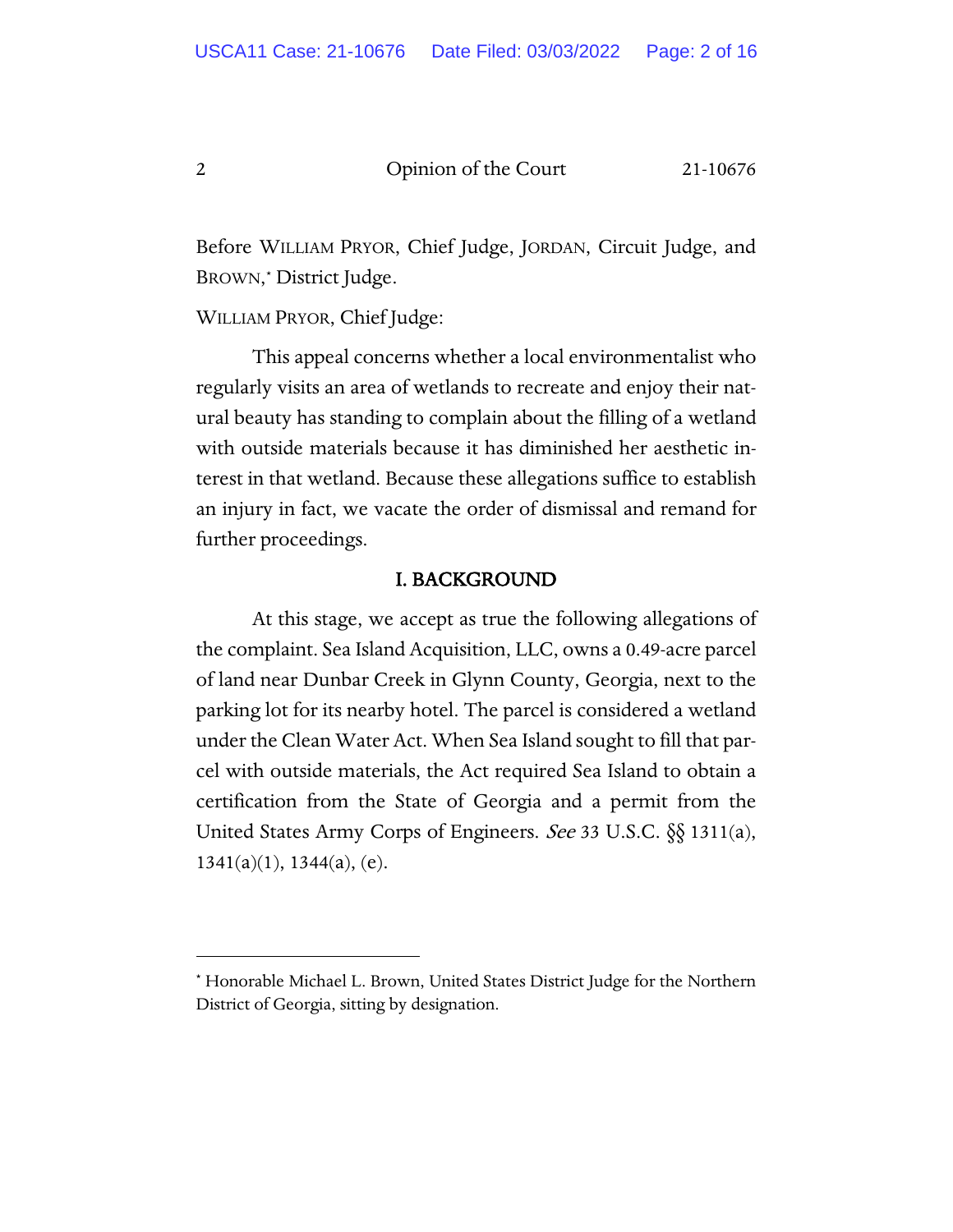Before WILLIAM PRYOR, Chief Judge, JORDAN, Circuit Judge, and BROWN,[\\*](#page-1-0) District Judge.

WILLIAM PRYOR, Chief Judge:

This appeal concerns whether a local environmentalist who regularly visits an area of wetlands to recreate and enjoy their natural beauty has standing to complain about the filling of a wetland with outside materials because it has diminished her aesthetic interest in that wetland. Because these allegations suffice to establish an injury in fact, we vacate the order of dismissal and remand for further proceedings.

### I. BACKGROUND

At this stage, we accept as true the following allegations of the complaint. Sea Island Acquisition, LLC, owns a 0.49-acre parcel of land near Dunbar Creek in Glynn County, Georgia, next to the parking lot for its nearby hotel. The parcel is considered a wetland under the Clean Water Act. When Sea Island sought to fill that parcel with outside materials, the Act required Sea Island to obtain a certification from the State of Georgia and a permit from the United States Army Corps of Engineers. See 33 U.S.C. §§ 1311(a),  $1341(a)(1)$ ,  $1344(a)$ , (e).

<span id="page-1-0"></span><sup>\*</sup> Honorable Michael L. Brown, United States District Judge for the Northern District of Georgia, sitting by designation.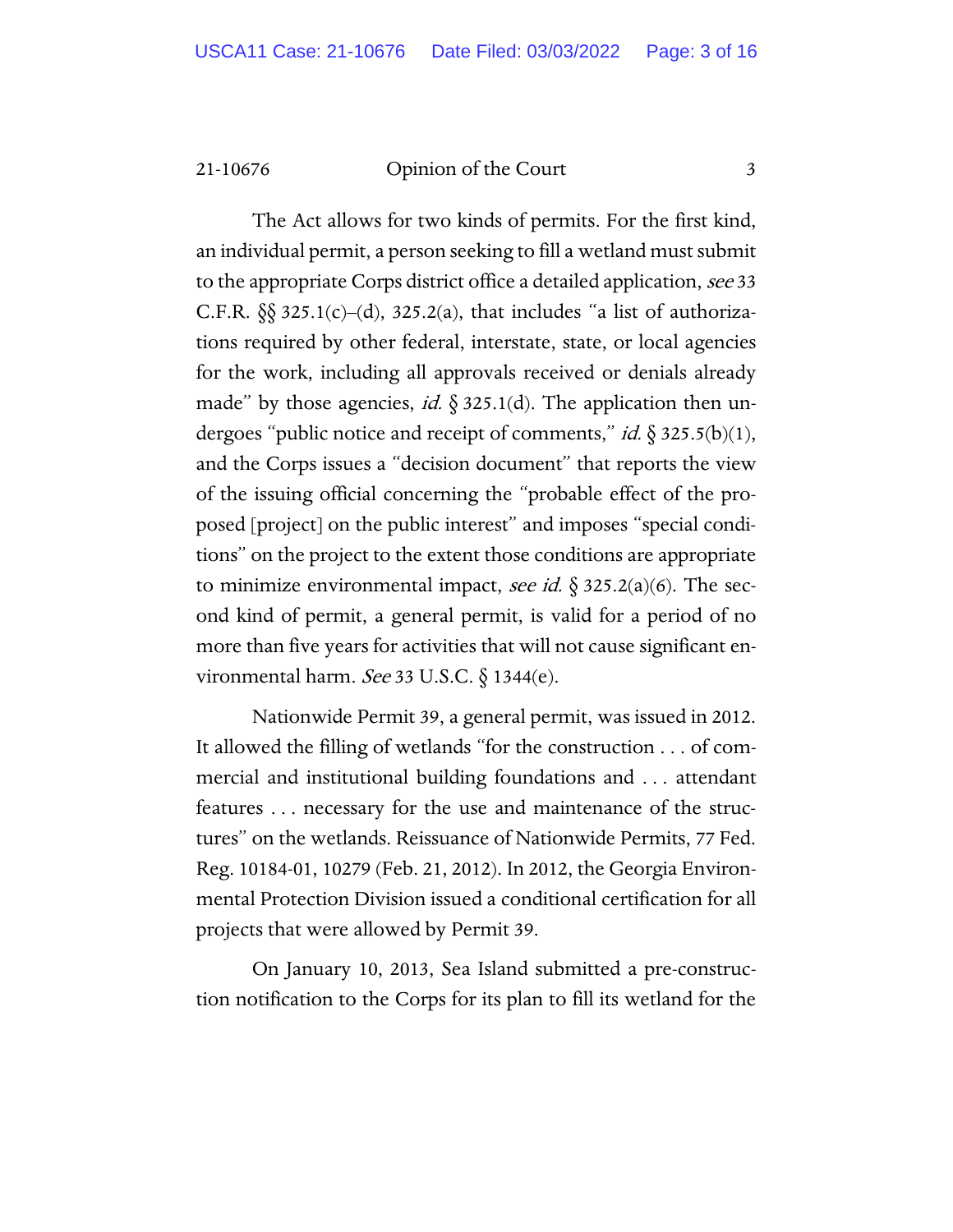The Act allows for two kinds of permits. For the first kind, an individual permit, a person seeking to fill a wetland must submit to the appropriate Corps district office a detailed application, see 33 C.F.R.  $\S$  325.1(c)–(d), 325.2(a), that includes "a list of authorizations required by other federal, interstate, state, or local agencies for the work, including all approvals received or denials already made" by those agencies, id.  $\S 325.1(d)$ . The application then undergoes "public notice and receipt of comments," *id.*  $\S 325.5(b)(1)$ , and the Corps issues a "decision document" that reports the view of the issuing official concerning the "probable effect of the proposed [project] on the public interest" and imposes "special conditions" on the project to the extent those conditions are appropriate to minimize environmental impact, see id.  $\S 325.2(a)(6)$ . The second kind of permit, a general permit, is valid for a period of no more than five years for activities that will not cause significant environmental harm. See 33 U.S.C. § 1344(e).

Nationwide Permit 39, a general permit, was issued in 2012. It allowed the filling of wetlands "for the construction . . . of commercial and institutional building foundations and . . . attendant features . . . necessary for the use and maintenance of the structures" on the wetlands. Reissuance of Nationwide Permits, 77 Fed. Reg. 10184-01, 10279 (Feb. 21, 2012). In 2012, the Georgia Environmental Protection Division issued a conditional certification for all projects that were allowed by Permit 39.

On January 10, 2013, Sea Island submitted a pre-construction notification to the Corps for its plan to fill its wetland for the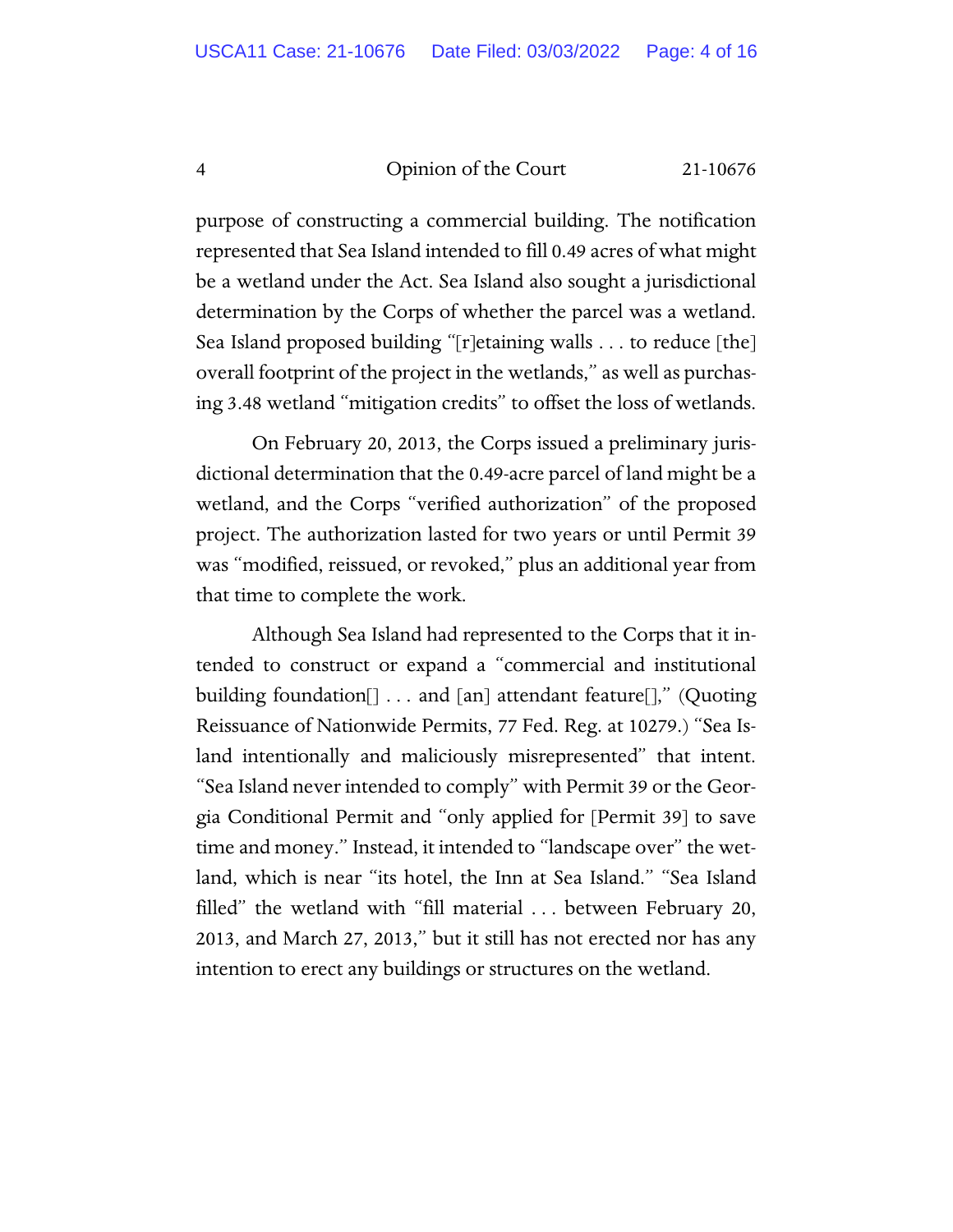purpose of constructing a commercial building. The notification represented that Sea Island intended to fill 0.49 acres of what might be a wetland under the Act. Sea Island also sought a jurisdictional determination by the Corps of whether the parcel was a wetland. Sea Island proposed building "[r]etaining walls . . . to reduce [the] overall footprint of the project in the wetlands," as well as purchasing 3.48 wetland "mitigation credits" to offset the loss of wetlands.

On February 20, 2013, the Corps issued a preliminary jurisdictional determination that the 0.49-acre parcel of land might be a wetland, and the Corps "verified authorization" of the proposed project. The authorization lasted for two years or until Permit 39 was "modified, reissued, or revoked," plus an additional year from that time to complete the work.

Although Sea Island had represented to the Corps that it intended to construct or expand a "commercial and institutional building foundation[] . . . and [an] attendant feature[]," (Quoting Reissuance of Nationwide Permits, 77 Fed. Reg. at 10279.) "Sea Island intentionally and maliciously misrepresented" that intent. "Sea Island never intended to comply" with Permit 39 or the Georgia Conditional Permit and "only applied for [Permit 39] to save time and money." Instead, it intended to "landscape over" the wetland, which is near "its hotel, the Inn at Sea Island." "Sea Island filled" the wetland with "fill material . . . between February 20, 2013, and March 27, 2013," but it still has not erected nor has any intention to erect any buildings or structures on the wetland.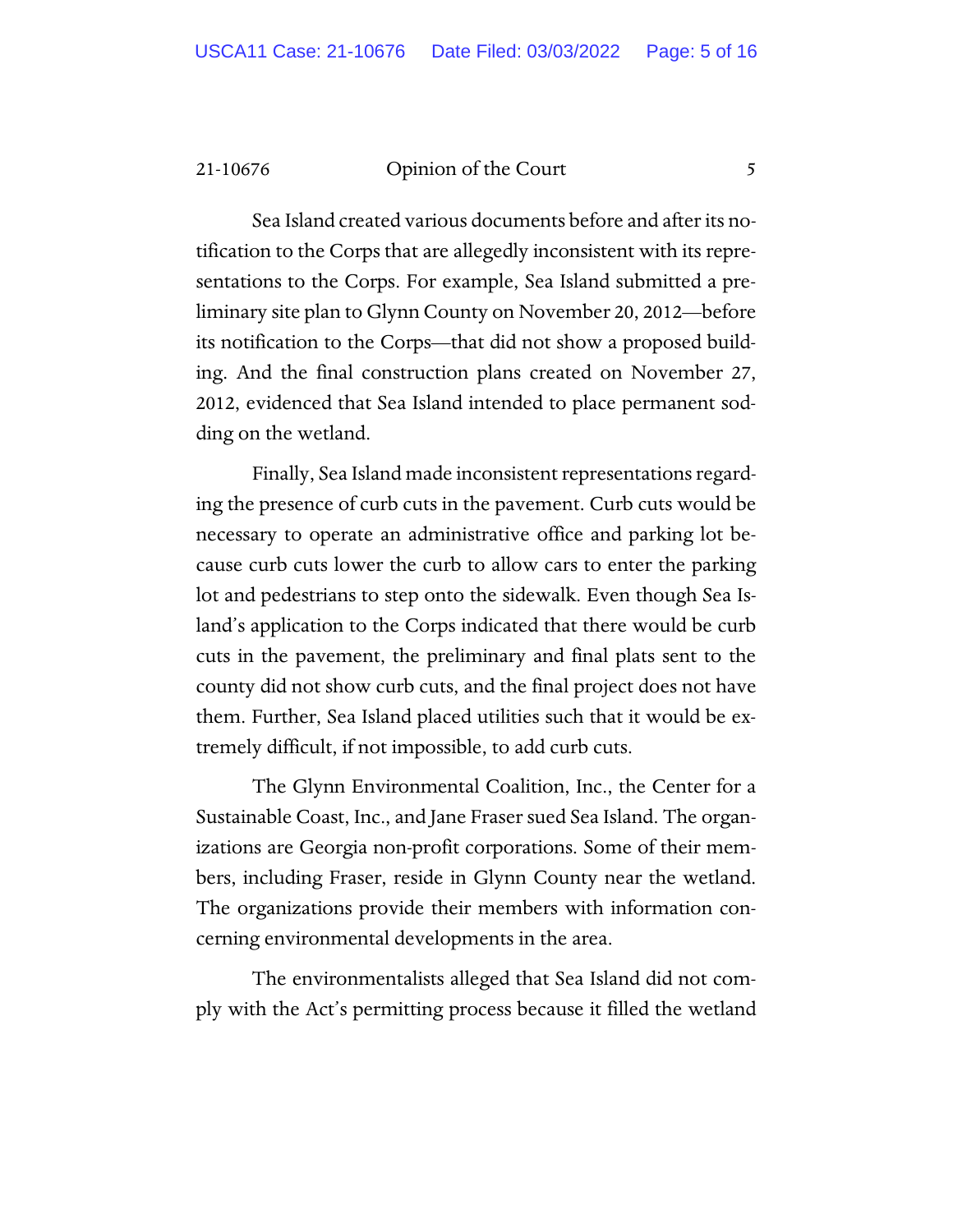Sea Island created various documents before and after its notification to the Corps that are allegedly inconsistent with its representations to the Corps. For example, Sea Island submitted a preliminary site plan to Glynn County on November 20, 2012—before its notification to the Corps—that did not show a proposed building. And the final construction plans created on November 27, 2012, evidenced that Sea Island intended to place permanent sodding on the wetland.

Finally, Sea Island made inconsistent representations regarding the presence of curb cuts in the pavement. Curb cuts would be necessary to operate an administrative office and parking lot because curb cuts lower the curb to allow cars to enter the parking lot and pedestrians to step onto the sidewalk. Even though Sea Island's application to the Corps indicated that there would be curb cuts in the pavement, the preliminary and final plats sent to the county did not show curb cuts, and the final project does not have them. Further, Sea Island placed utilities such that it would be extremely difficult, if not impossible, to add curb cuts.

The Glynn Environmental Coalition, Inc., the Center for a Sustainable Coast, Inc., and Jane Fraser sued Sea Island. The organizations are Georgia non-profit corporations. Some of their members, including Fraser, reside in Glynn County near the wetland. The organizations provide their members with information concerning environmental developments in the area.

The environmentalists alleged that Sea Island did not comply with the Act's permitting process because it filled the wetland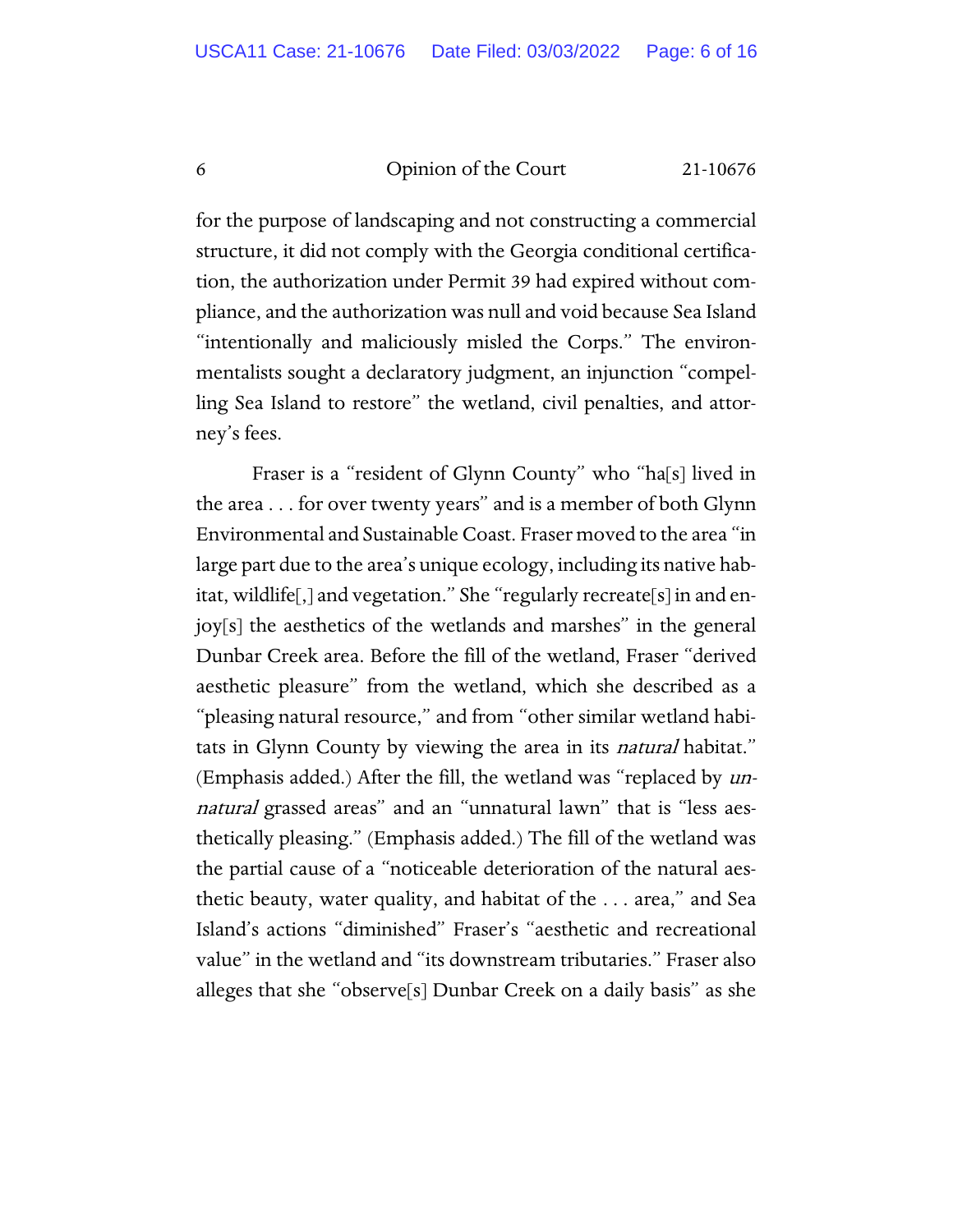for the purpose of landscaping and not constructing a commercial structure, it did not comply with the Georgia conditional certification, the authorization under Permit 39 had expired without compliance, and the authorization was null and void because Sea Island "intentionally and maliciously misled the Corps." The environmentalists sought a declaratory judgment, an injunction "compelling Sea Island to restore" the wetland, civil penalties, and attorney's fees.

Fraser is a "resident of Glynn County" who "ha[s] lived in the area . . . for over twenty years" and is a member of both Glynn Environmental and Sustainable Coast. Fraser moved to the area "in large part due to the area's unique ecology, including its native habitat, wildlife[,] and vegetation." She "regularly recreate[s] in and enjoy[s] the aesthetics of the wetlands and marshes" in the general Dunbar Creek area. Before the fill of the wetland, Fraser "derived aesthetic pleasure" from the wetland, which she described as a "pleasing natural resource," and from "other similar wetland habitats in Glynn County by viewing the area in its *natural* habitat." (Emphasis added.) After the fill, the wetland was "replaced by unnatural grassed areas" and an "unnatural lawn" that is "less aesthetically pleasing." (Emphasis added.) The fill of the wetland was the partial cause of a "noticeable deterioration of the natural aesthetic beauty, water quality, and habitat of the . . . area," and Sea Island's actions "diminished" Fraser's "aesthetic and recreational value" in the wetland and "its downstream tributaries." Fraser also alleges that she "observe[s] Dunbar Creek on a daily basis" as she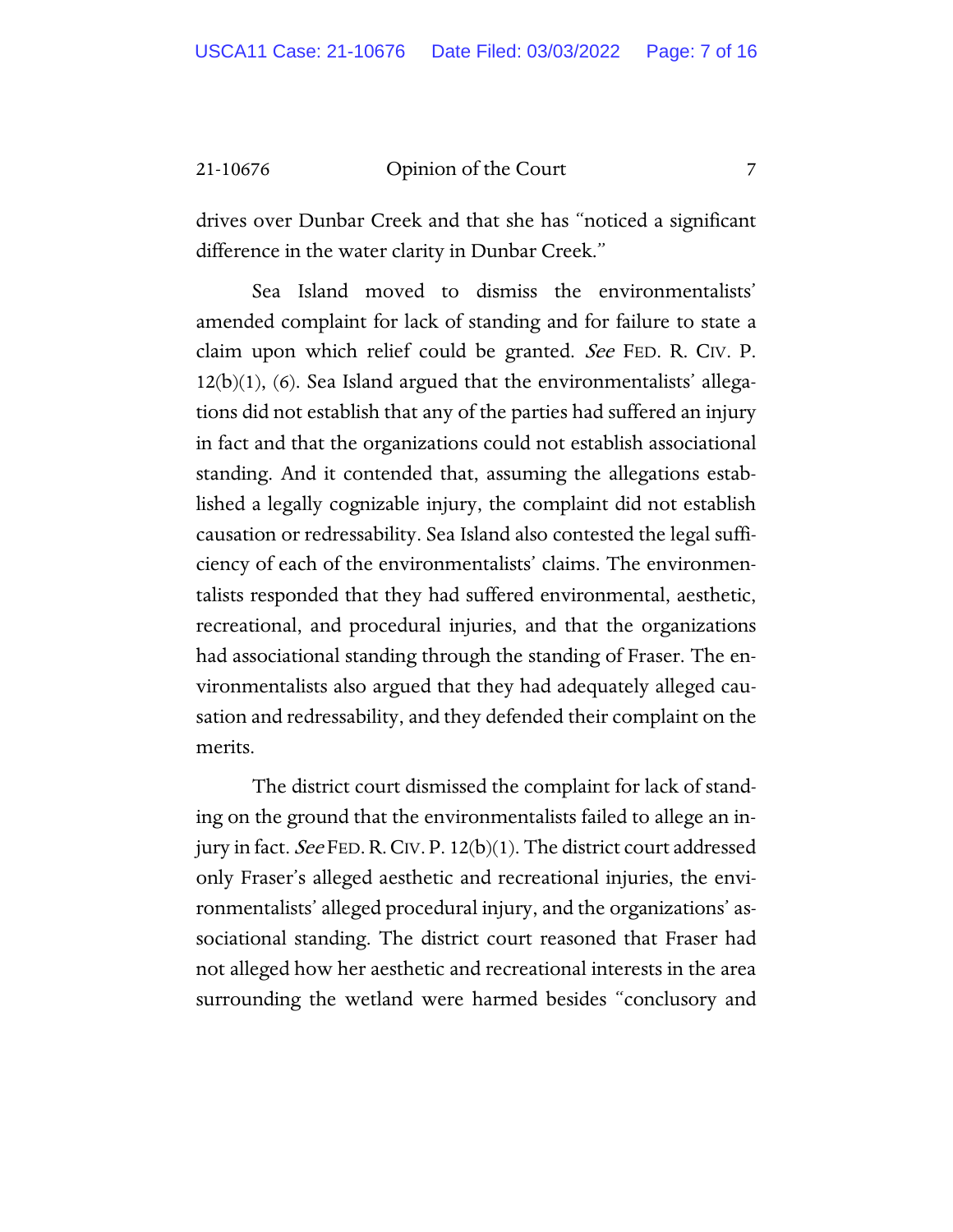drives over Dunbar Creek and that she has "noticed a significant difference in the water clarity in Dunbar Creek."

Sea Island moved to dismiss the environmentalists' amended complaint for lack of standing and for failure to state a claim upon which relief could be granted. See FED. R. CIV. P. 12(b)(1), (6). Sea Island argued that the environmentalists' allegations did not establish that any of the parties had suffered an injury in fact and that the organizations could not establish associational standing. And it contended that, assuming the allegations established a legally cognizable injury, the complaint did not establish causation or redressability. Sea Island also contested the legal sufficiency of each of the environmentalists' claims. The environmentalists responded that they had suffered environmental, aesthetic, recreational, and procedural injuries, and that the organizations had associational standing through the standing of Fraser. The environmentalists also argued that they had adequately alleged causation and redressability, and they defended their complaint on the merits.

The district court dismissed the complaint for lack of standing on the ground that the environmentalists failed to allege an injury in fact. See FED. R. CIV. P. 12(b)(1). The district court addressed only Fraser's alleged aesthetic and recreational injuries, the environmentalists' alleged procedural injury, and the organizations' associational standing. The district court reasoned that Fraser had not alleged how her aesthetic and recreational interests in the area surrounding the wetland were harmed besides "conclusory and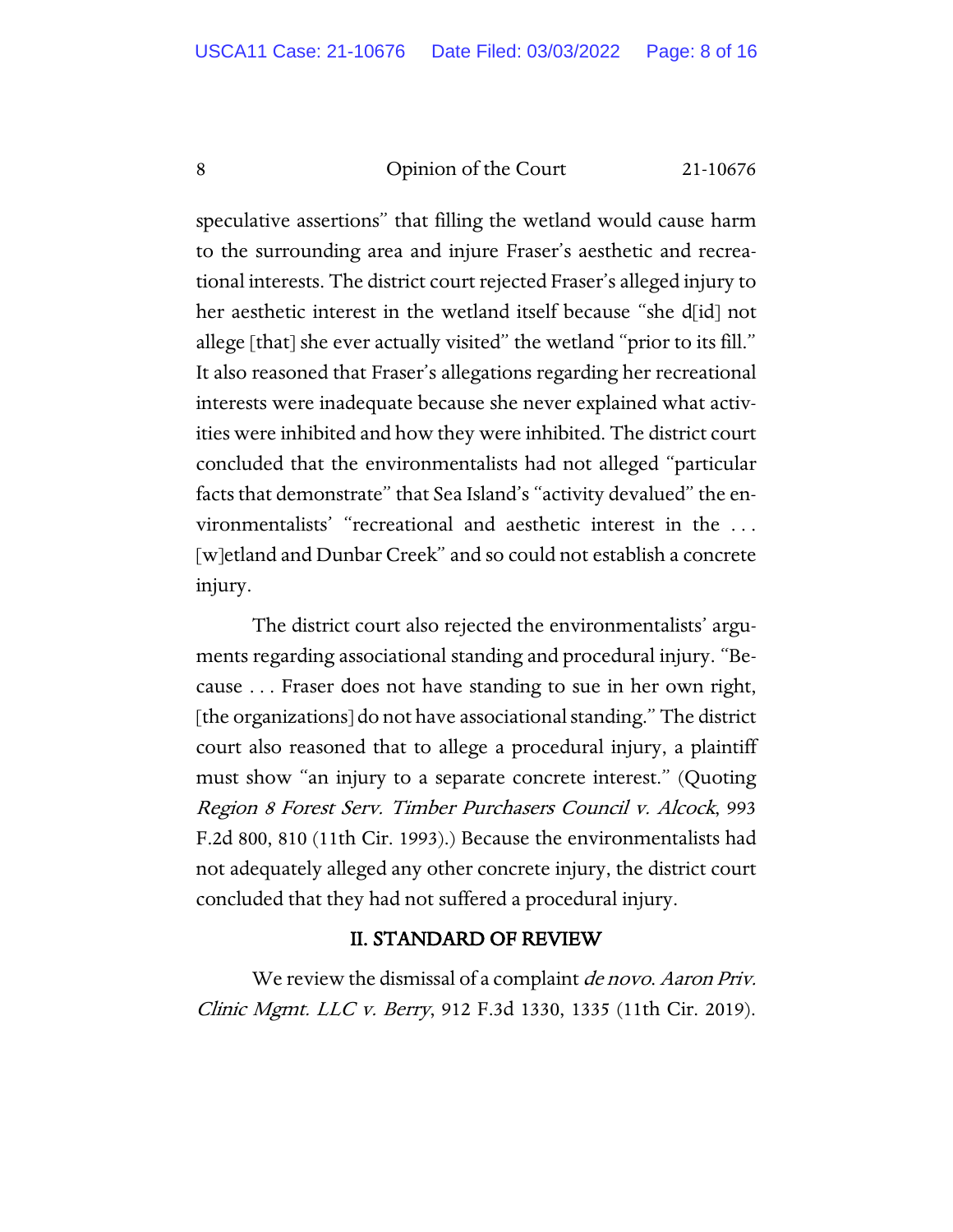speculative assertions" that filling the wetland would cause harm to the surrounding area and injure Fraser's aesthetic and recreational interests. The district court rejected Fraser's alleged injury to her aesthetic interest in the wetland itself because "she d<sup>[id]</sup> not allege [that] she ever actually visited" the wetland "prior to its fill." It also reasoned that Fraser's allegations regarding her recreational interests were inadequate because she never explained what activities were inhibited and how they were inhibited. The district court concluded that the environmentalists had not alleged "particular facts that demonstrate" that Sea Island's "activity devalued" the environmentalists' "recreational and aesthetic interest in the . . . [w]etland and Dunbar Creek" and so could not establish a concrete injury.

The district court also rejected the environmentalists' arguments regarding associational standing and procedural injury. "Because . . . Fraser does not have standing to sue in her own right, [the organizations] do not have associational standing." The district court also reasoned that to allege a procedural injury, a plaintiff must show "an injury to a separate concrete interest." (Quoting Region 8 Forest Serv. Timber Purchasers Council v. Alcock, 993 F.2d 800, 810 (11th Cir. 1993).) Because the environmentalists had not adequately alleged any other concrete injury, the district court concluded that they had not suffered a procedural injury.

# II. STANDARD OF REVIEW

We review the dismissal of a complaint *de novo. Aaron Priv.* Clinic Mgmt. LLC v. Berry, 912 F.3d 1330, 1335 (11th Cir. 2019).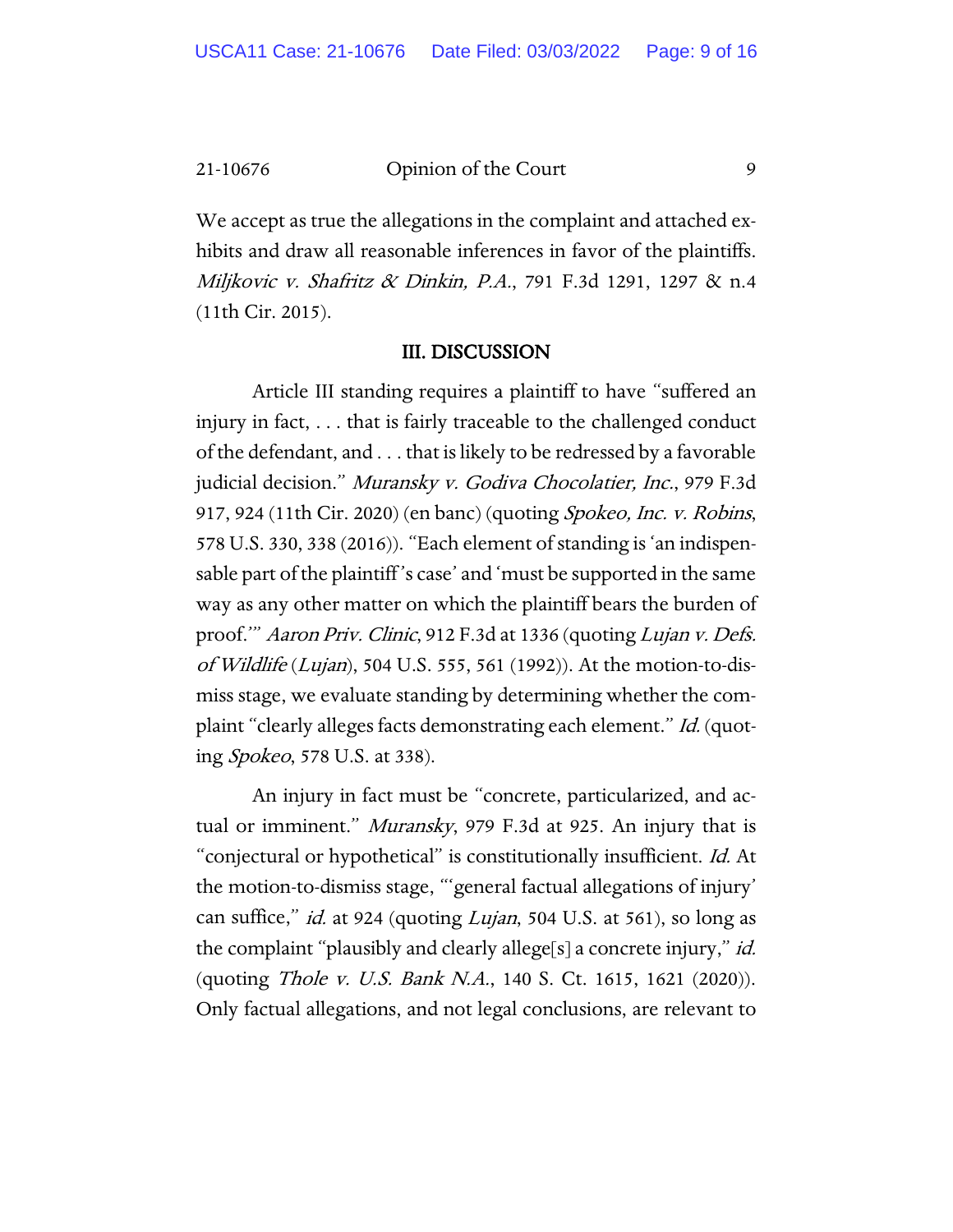We accept as true the allegations in the complaint and attached exhibits and draw all reasonable inferences in favor of the plaintiffs. Miljkovic v. Shafritz & Dinkin, P.A., 791 F.3d 1291, 1297 & n.4 (11th Cir. 2015).

#### III. DISCUSSION

Article III standing requires a plaintiff to have "suffered an injury in fact, . . . that is fairly traceable to the challenged conduct of the defendant, and . . . that is likely to be redressed by a favorable judicial decision." Muransky v. Godiva Chocolatier, Inc., 979 F.3d 917, 924 (11th Cir. 2020) (en banc) (quoting Spokeo, Inc. v. Robins, 578 U.S. 330, 338 (2016)). "Each element of standing is 'an indispensable part of the plaintiff 's case' and 'must be supported in the same way as any other matter on which the plaintiff bears the burden of proof." Aaron Priv. Clinic, 912 F.3d at 1336 (quoting Lujan v. Defs. of Wildlife (Lujan), 504 U.S. 555, 561 (1992)). At the motion-to-dismiss stage, we evaluate standing by determining whether the complaint "clearly alleges facts demonstrating each element." Id. (quoting Spokeo, 578 U.S. at 338).

An injury in fact must be "concrete, particularized, and actual or imminent." *Muransky*, 979 F.3d at 925. An injury that is "conjectural or hypothetical" is constitutionally insufficient. Id. At the motion-to-dismiss stage, "'general factual allegations of injury' can suffice," *id.* at 924 (quoting *Lujan*, 504 U.S. at 561), so long as the complaint "plausibly and clearly allege[s] a concrete injury," *id.* (quoting Thole v. U.S. Bank N.A., 140 S. Ct. 1615, 1621 (2020)). Only factual allegations, and not legal conclusions, are relevant to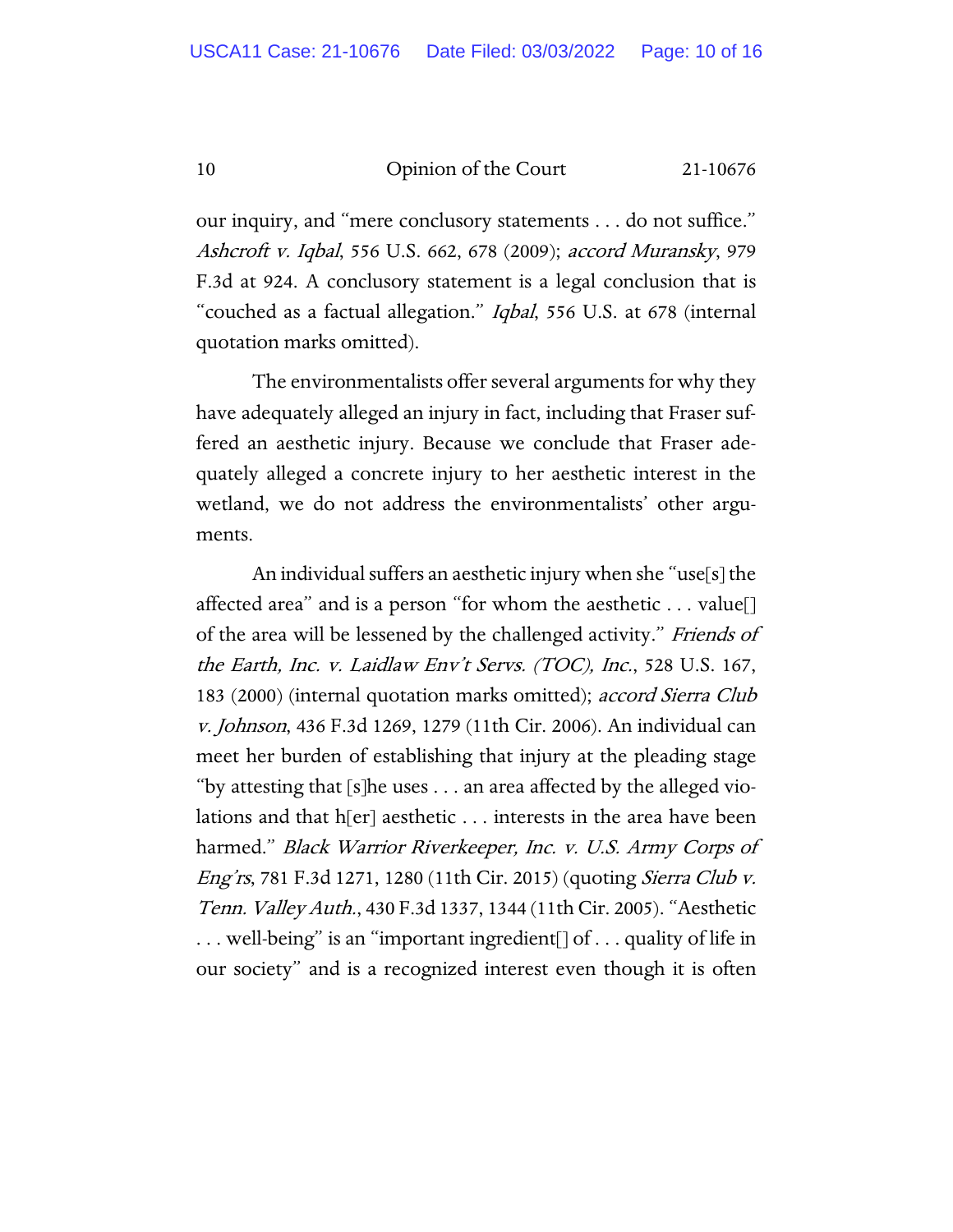our inquiry, and "mere conclusory statements . . . do not suffice." Ashcroft v. Iqbal, 556 U.S. 662, 678 (2009); accord Muransky, 979 F.3d at 924. A conclusory statement is a legal conclusion that is "couched as a factual allegation." Iqbal, 556 U.S. at 678 (internal quotation marks omitted).

The environmentalists offer several arguments for why they have adequately alleged an injury in fact, including that Fraser suffered an aesthetic injury. Because we conclude that Fraser adequately alleged a concrete injury to her aesthetic interest in the wetland, we do not address the environmentalists' other arguments.

An individual suffers an aesthetic injury when she "use[s] the affected area" and is a person "for whom the aesthetic  $\dots$  value [] of the area will be lessened by the challenged activity." Friends of the Earth, Inc. v. Laidlaw Env't Servs. (TOC), Inc., 528 U.S. 167, 183 (2000) (internal quotation marks omitted); accord Sierra Club v. Johnson, 436 F.3d 1269, 1279 (11th Cir. 2006). An individual can meet her burden of establishing that injury at the pleading stage "by attesting that [s]he uses . . . an area affected by the alleged violations and that h[er] aesthetic . . . interests in the area have been harmed." Black Warrior Riverkeeper, Inc. v. U.S. Army Corps of Eng'rs, 781 F.3d 1271, 1280 (11th Cir. 2015) (quoting Sierra Club v. Tenn. Valley Auth., 430 F.3d 1337, 1344 (11th Cir. 2005). "Aesthetic . . . well-being" is an "important ingredient[] of . . . quality of life in our society" and is a recognized interest even though it is often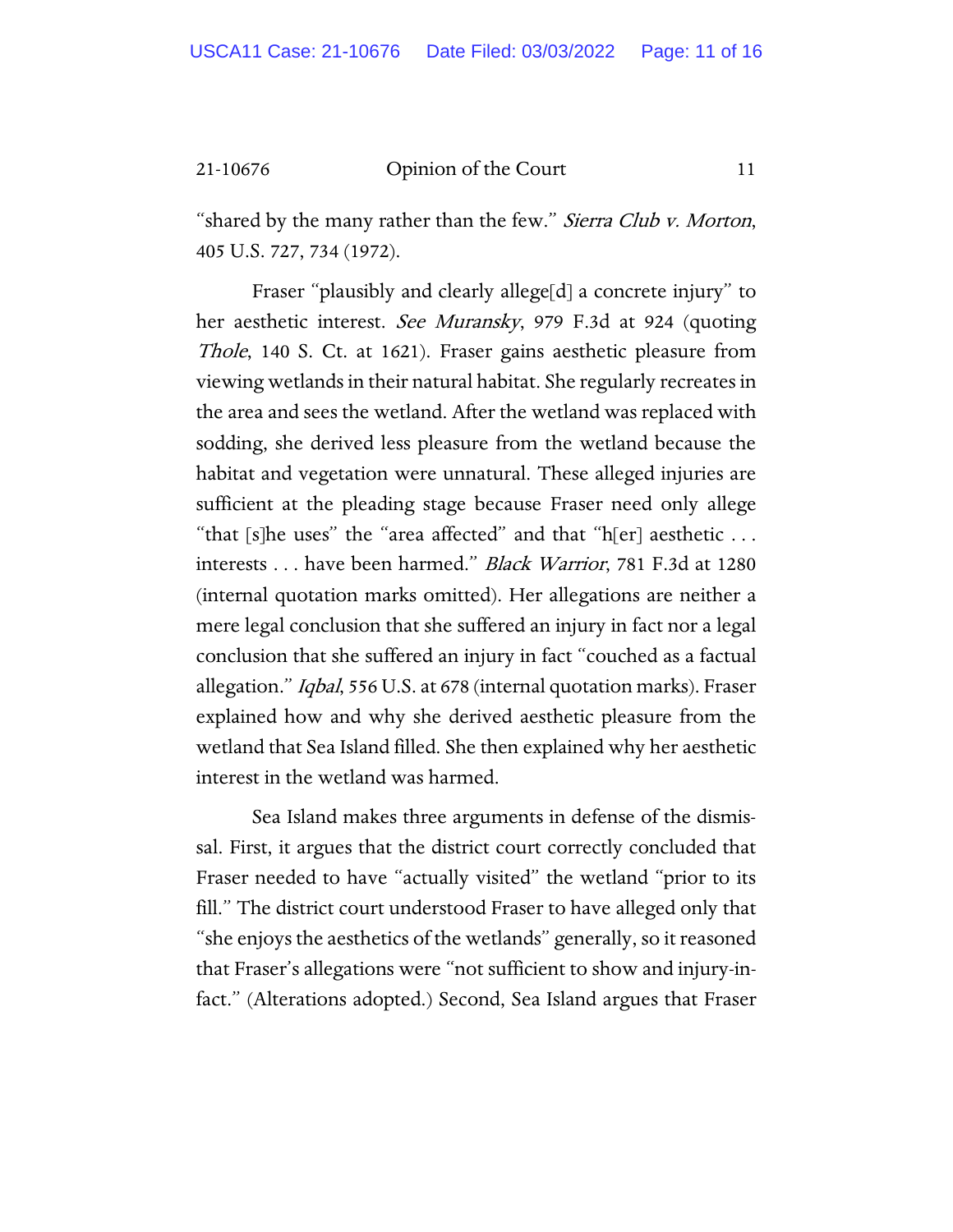"shared by the many rather than the few." *Sierra Club v. Morton*, 405 U.S. 727, 734 (1972).

Fraser "plausibly and clearly allege[d] a concrete injury" to her aesthetic interest. See Muransky, 979 F.3d at 924 (quoting Thole, 140 S. Ct. at 1621). Fraser gains aesthetic pleasure from viewing wetlands in their natural habitat. She regularly recreates in the area and sees the wetland. After the wetland was replaced with sodding, she derived less pleasure from the wetland because the habitat and vegetation were unnatural. These alleged injuries are sufficient at the pleading stage because Fraser need only allege "that [s]he uses" the "area affected" and that "h[er] aesthetic  $\dots$ interests . . . have been harmed." Black Warrior, 781 F.3d at 1280 (internal quotation marks omitted). Her allegations are neither a mere legal conclusion that she suffered an injury in fact nor a legal conclusion that she suffered an injury in fact "couched as a factual allegation." Iqbal, 556 U.S. at 678 (internal quotation marks). Fraser explained how and why she derived aesthetic pleasure from the wetland that Sea Island filled. She then explained why her aesthetic interest in the wetland was harmed.

Sea Island makes three arguments in defense of the dismissal. First, it argues that the district court correctly concluded that Fraser needed to have "actually visited" the wetland "prior to its fill." The district court understood Fraser to have alleged only that "she enjoys the aesthetics of the wetlands" generally, so it reasoned that Fraser's allegations were "not sufficient to show and injury-infact." (Alterations adopted.) Second, Sea Island argues that Fraser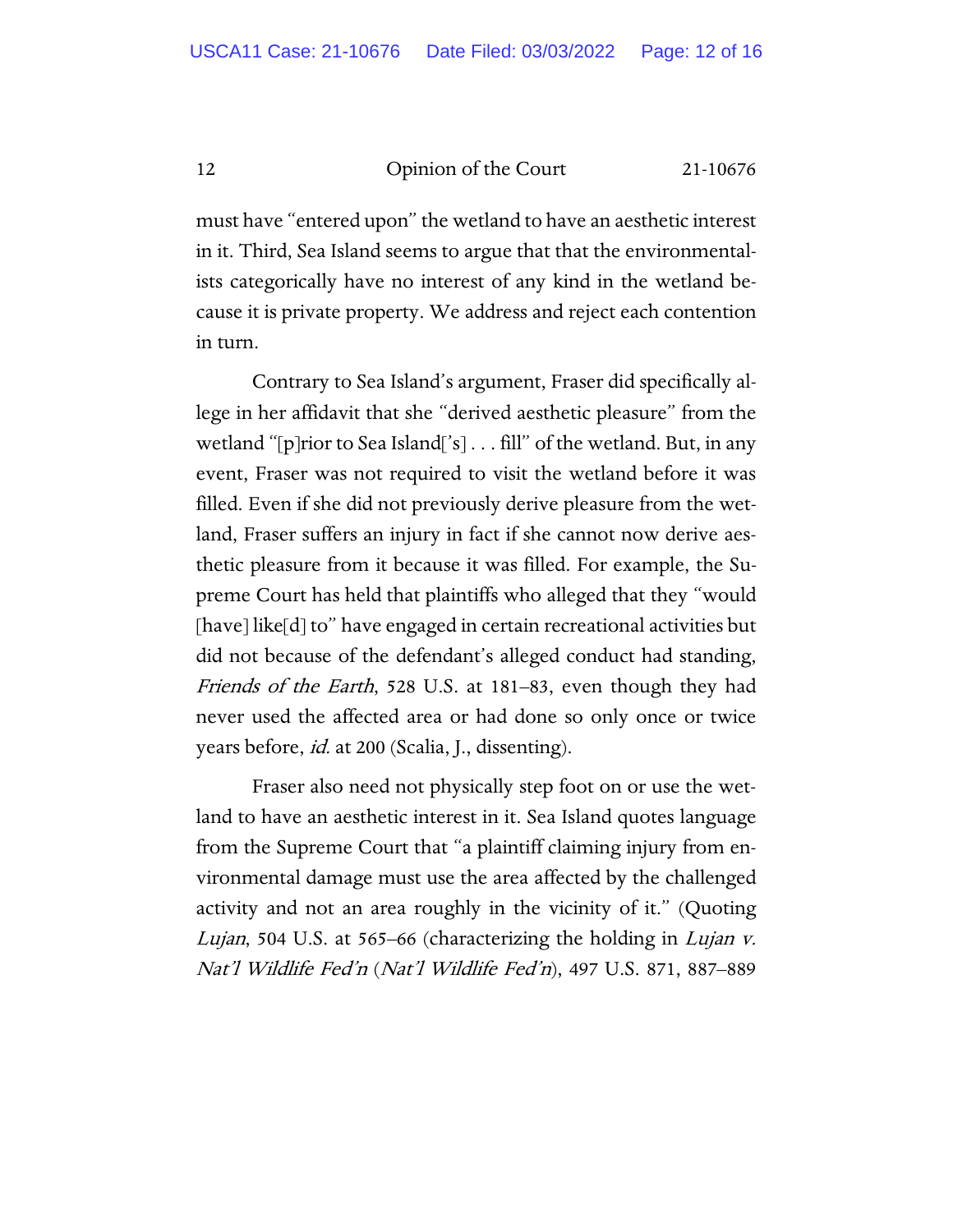must have "entered upon" the wetland to have an aesthetic interest in it. Third, Sea Island seems to argue that that the environmentalists categorically have no interest of any kind in the wetland because it is private property. We address and reject each contention in turn.

Contrary to Sea Island's argument, Fraser did specifically allege in her affidavit that she "derived aesthetic pleasure" from the wetland "[p]rior to Sea Island['s] . . . fill" of the wetland. But, in any event, Fraser was not required to visit the wetland before it was filled. Even if she did not previously derive pleasure from the wetland, Fraser suffers an injury in fact if she cannot now derive aesthetic pleasure from it because it was filled. For example, the Supreme Court has held that plaintiffs who alleged that they "would [have] like[d] to" have engaged in certain recreational activities but did not because of the defendant's alleged conduct had standing, Friends of the Earth, 528 U.S. at 181–83, even though they had never used the affected area or had done so only once or twice years before, *id.* at 200 (Scalia, J., dissenting).

Fraser also need not physically step foot on or use the wetland to have an aesthetic interest in it. Sea Island quotes language from the Supreme Court that "a plaintiff claiming injury from environmental damage must use the area affected by the challenged activity and not an area roughly in the vicinity of it." (Quoting Lujan, 504 U.S. at 565–66 (characterizing the holding in Lujan v. Nat'l Wildlife Fed'n (Nat'l Wildlife Fed'n), 497 U.S. 871, 887–889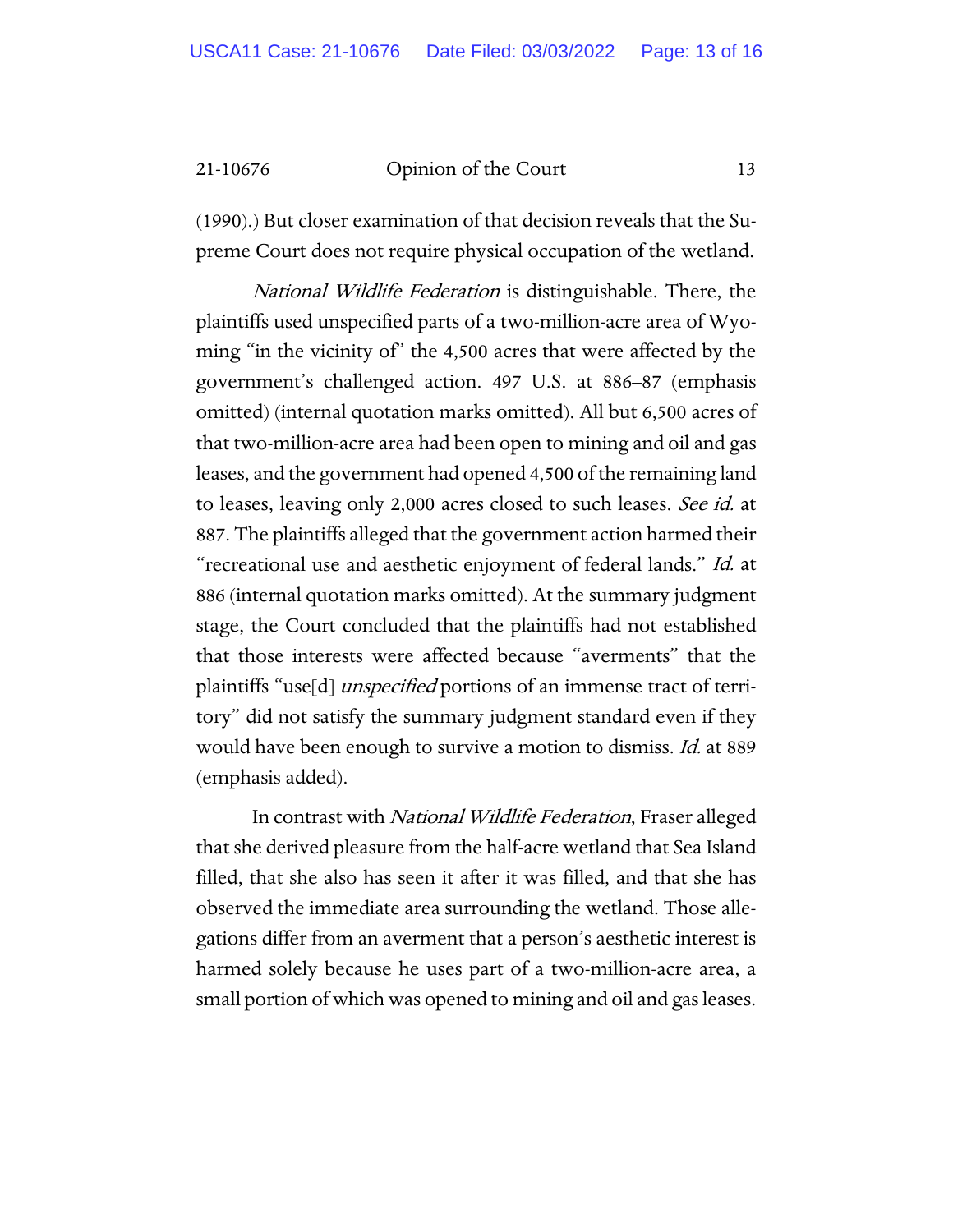(1990).) But closer examination of that decision reveals that the Supreme Court does not require physical occupation of the wetland.

National Wildlife Federation is distinguishable. There, the plaintiffs used unspecified parts of a two-million-acre area of Wyoming "in the vicinity of" the 4,500 acres that were affected by the government's challenged action. 497 U.S. at 886–87 (emphasis omitted) (internal quotation marks omitted). All but 6,500 acres of that two-million-acre area had been open to mining and oil and gas leases, and the government had opened 4,500 of the remaining land to leases, leaving only 2,000 acres closed to such leases. See id. at 887. The plaintiffs alleged that the government action harmed their "recreational use and aesthetic enjoyment of federal lands." Id. at 886 (internal quotation marks omitted). At the summary judgment stage, the Court concluded that the plaintiffs had not established that those interests were affected because "averments" that the plaintiffs "use[d] *unspecified* portions of an immense tract of territory" did not satisfy the summary judgment standard even if they would have been enough to survive a motion to dismiss. Id. at 889 (emphasis added).

In contrast with National Wildlife Federation, Fraser alleged that she derived pleasure from the half-acre wetland that Sea Island filled, that she also has seen it after it was filled, and that she has observed the immediate area surrounding the wetland. Those allegations differ from an averment that a person's aesthetic interest is harmed solely because he uses part of a two-million-acre area, a small portion of which was opened to mining and oil and gas leases.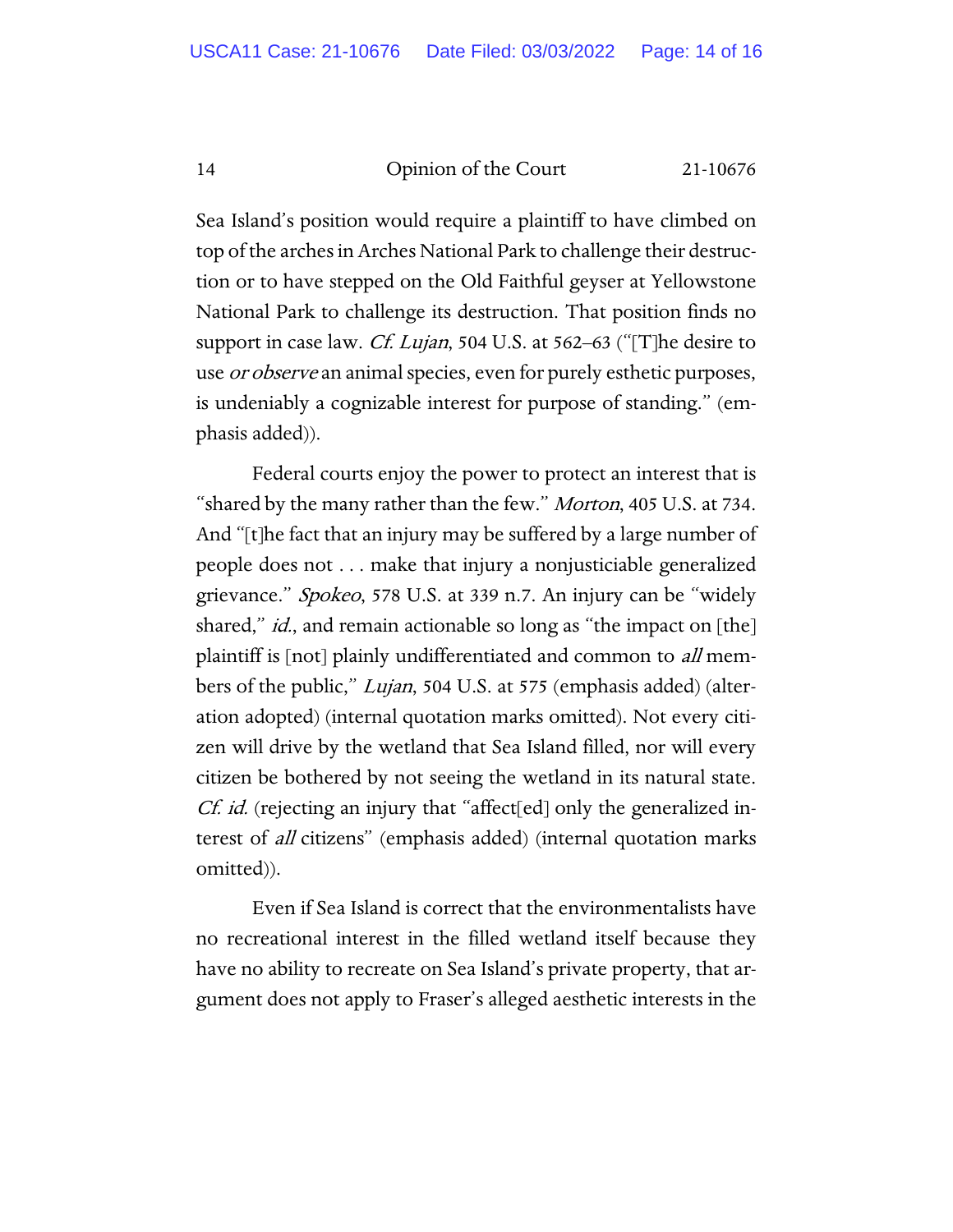Sea Island's position would require a plaintiff to have climbed on top of the arches in Arches National Park to challenge their destruction or to have stepped on the Old Faithful geyser at Yellowstone National Park to challenge its destruction. That position finds no support in case law. *Cf. Lujan*, 504 U.S. at 562–63 ("[T]he desire to use *or observe* an animal species, even for purely esthetic purposes, is undeniably a cognizable interest for purpose of standing." (emphasis added)).

Federal courts enjoy the power to protect an interest that is "shared by the many rather than the few." *Morton*, 405 U.S. at 734. And "[t]he fact that an injury may be suffered by a large number of people does not . . . make that injury a nonjusticiable generalized grievance." Spokeo, 578 U.S. at 339 n.7. An injury can be "widely shared," *id.*, and remain actionable so long as "the impact on [the] plaintiff is [not] plainly undifferentiated and common to *all* members of the public," *Lujan*, 504 U.S. at 575 (emphasis added) (alteration adopted) (internal quotation marks omitted). Not every citizen will drive by the wetland that Sea Island filled, nor will every citizen be bothered by not seeing the wetland in its natural state. Cf. id. (rejecting an injury that "affect[ed] only the generalized interest of all citizens" (emphasis added) (internal quotation marks omitted)).

Even if Sea Island is correct that the environmentalists have no recreational interest in the filled wetland itself because they have no ability to recreate on Sea Island's private property, that argument does not apply to Fraser's alleged aesthetic interests in the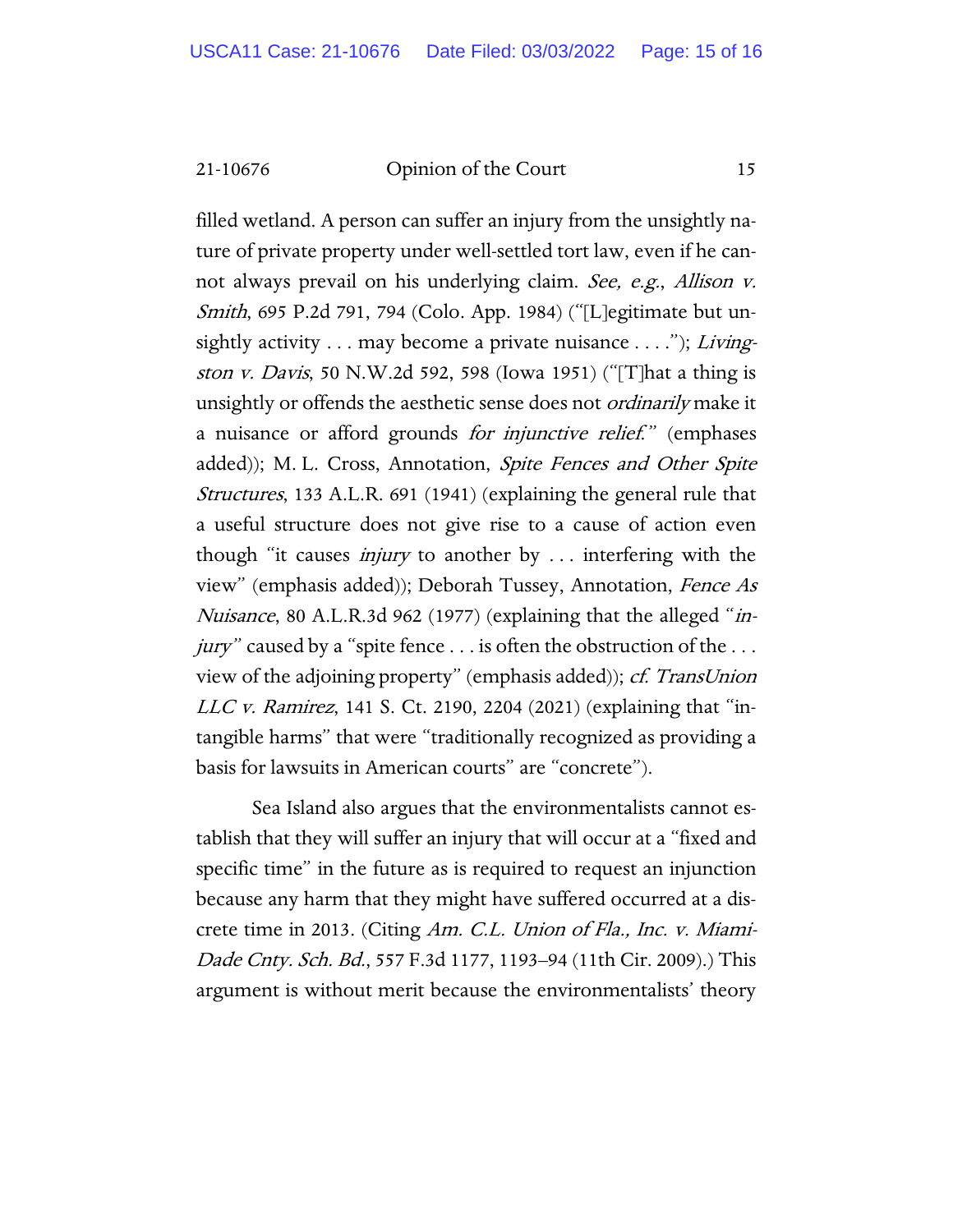filled wetland. A person can suffer an injury from the unsightly nature of private property under well-settled tort law, even if he cannot always prevail on his underlying claim. See, e.g., Allison v. Smith, 695 P.2d 791, 794 (Colo. App. 1984) ("[L]egitimate but unsightly activity  $\dots$  may become a private nuisance  $\dots$ ."); Livingston v. Davis, 50 N.W.2d 592, 598 (Iowa 1951) ("[T]hat a thing is unsightly or offends the aesthetic sense does not *ordinarily* make it a nuisance or afford grounds *for injunctive relief.*" (emphases added)); M. L. Cross, Annotation, Spite Fences and Other Spite Structures, 133 A.L.R. 691 (1941) (explaining the general rule that a useful structure does not give rise to a cause of action even though "it causes injury to another by . . . interfering with the view" (emphasis added)); Deborah Tussey, Annotation, Fence As Nuisance, 80 A.L.R.3d 962 (1977) (explaining that the alleged "injury" caused by a "spite fence  $\dots$  is often the obstruction of the  $\dots$ view of the adjoining property" (emphasis added)); cf. TransUnion LLC v. Ramirez, 141 S. Ct. 2190, 2204 (2021) (explaining that "intangible harms" that were "traditionally recognized as providing a basis for lawsuits in American courts" are "concrete").

Sea Island also argues that the environmentalists cannot establish that they will suffer an injury that will occur at a "fixed and specific time" in the future as is required to request an injunction because any harm that they might have suffered occurred at a discrete time in 2013. (Citing Am. C.L. Union of Fla., Inc. v. Miami-Dade Cnty. Sch. Bd., 557 F.3d 1177, 1193–94 (11th Cir. 2009).) This argument is without merit because the environmentalists' theory